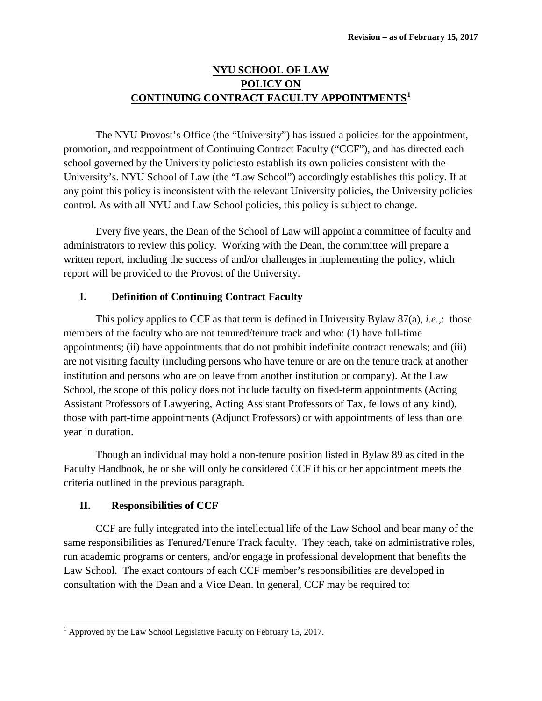# **NYU SCHOOL OF LAW POLICY ON CONTINUING CONTRACT FACULTY APPOINTMENTS[1](#page-0-0)**

The NYU Provost's Office (the "University") has issued a policies for the appointment, promotion, and reappointment of Continuing Contract Faculty ("CCF"), and has directed each school governed by the University policiesto establish its own policies consistent with the University's. NYU School of Law (the "Law School") accordingly establishes this policy. If at any point this policy is inconsistent with the relevant University policies, the University policies control. As with all NYU and Law School policies, this policy is subject to change.

Every five years, the Dean of the School of Law will appoint a committee of faculty and administrators to review this policy. Working with the Dean, the committee will prepare a written report, including the success of and/or challenges in implementing the policy, which report will be provided to the Provost of the University.

# **I. Definition of Continuing Contract Faculty**

This policy applies to CCF as that term is defined in University Bylaw 87(a), *i.e.*,: those members of the faculty who are not tenured/tenure track and who: (1) have full-time appointments; (ii) have appointments that do not prohibit indefinite contract renewals; and (iii) are not visiting faculty (including persons who have tenure or are on the tenure track at another institution and persons who are on leave from another institution or company). At the Law School, the scope of this policy does not include faculty on fixed-term appointments (Acting Assistant Professors of Lawyering, Acting Assistant Professors of Tax, fellows of any kind), those with part-time appointments (Adjunct Professors) or with appointments of less than one year in duration.

Though an individual may hold a non-tenure position listed in Bylaw 89 as cited in the Faculty Handbook, he or she will only be considered CCF if his or her appointment meets the criteria outlined in the previous paragraph.

# **II. Responsibilities of CCF**

CCF are fully integrated into the intellectual life of the Law School and bear many of the same responsibilities as Tenured/Tenure Track faculty. They teach, take on administrative roles, run academic programs or centers, and/or engage in professional development that benefits the Law School. The exact contours of each CCF member's responsibilities are developed in consultation with the Dean and a Vice Dean. In general, CCF may be required to:

<span id="page-0-0"></span> $1$  Approved by the Law School Legislative Faculty on February 15, 2017.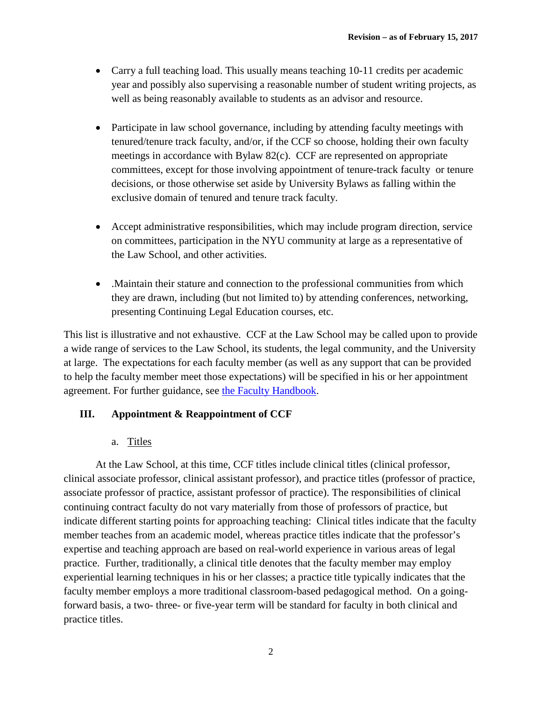- Carry a full teaching load. This usually means teaching 10-11 credits per academic year and possibly also supervising a reasonable number of student writing projects, as well as being reasonably available to students as an advisor and resource.
- Participate in law school governance, including by attending faculty meetings with tenured/tenure track faculty, and/or, if the CCF so choose, holding their own faculty meetings in accordance with Bylaw 82(c). CCF are represented on appropriate committees, except for those involving appointment of tenure-track faculty or tenure decisions, or those otherwise set aside by University Bylaws as falling within the exclusive domain of tenured and tenure track faculty.
- Accept administrative responsibilities, which may include program direction, service on committees, participation in the NYU community at large as a representative of the Law School, and other activities.
- .Maintain their stature and connection to the professional communities from which they are drawn, including (but not limited to) by attending conferences, networking, presenting Continuing Legal Education courses, etc.

This list is illustrative and not exhaustive. CCF at the Law School may be called upon to provide a wide range of services to the Law School, its students, the legal community, and the University at large. The expectations for each faculty member (as well as any support that can be provided to help the faculty member meet those expectations) will be specified in his or her appointment agreement. For further guidance, see [the Faculty Handbook.](http://www.nyu.edu/faculty/governance-policies-and-procedures/faculty-handbook.html)

# **III. Appointment & Reappointment of CCF**

# a. Titles

At the Law School, at this time, CCF titles include clinical titles (clinical professor, clinical associate professor, clinical assistant professor), and practice titles (professor of practice, associate professor of practice, assistant professor of practice). The responsibilities of clinical continuing contract faculty do not vary materially from those of professors of practice, but indicate different starting points for approaching teaching: Clinical titles indicate that the faculty member teaches from an academic model, whereas practice titles indicate that the professor's expertise and teaching approach are based on real-world experience in various areas of legal practice. Further, traditionally, a clinical title denotes that the faculty member may employ experiential learning techniques in his or her classes; a practice title typically indicates that the faculty member employs a more traditional classroom-based pedagogical method. On a goingforward basis, a two- three- or five-year term will be standard for faculty in both clinical and practice titles.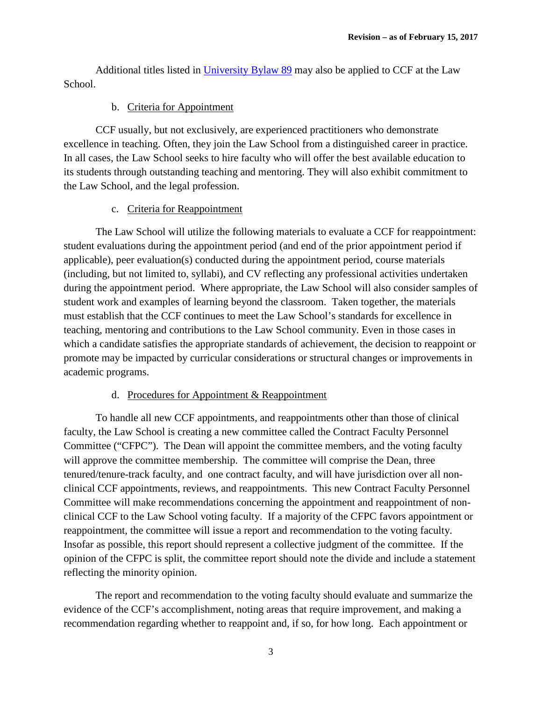Additional titles listed in [University Bylaw 89](http://www.nyu.edu/faculty/governance-policies-and-procedures/faculty-handbook/the-faculty/faculty-membership-meetings-and-titles/faculty-titles.html#ftnttcf) may also be applied to CCF at the Law School.

# b. Criteria for Appointment

CCF usually, but not exclusively, are experienced practitioners who demonstrate excellence in teaching. Often, they join the Law School from a distinguished career in practice. In all cases, the Law School seeks to hire faculty who will offer the best available education to its students through outstanding teaching and mentoring. They will also exhibit commitment to the Law School, and the legal profession.

# c. Criteria for Reappointment

The Law School will utilize the following materials to evaluate a CCF for reappointment: student evaluations during the appointment period (and end of the prior appointment period if applicable), peer evaluation(s) conducted during the appointment period, course materials (including, but not limited to, syllabi), and CV reflecting any professional activities undertaken during the appointment period. Where appropriate, the Law School will also consider samples of student work and examples of learning beyond the classroom. Taken together, the materials must establish that the CCF continues to meet the Law School's standards for excellence in teaching, mentoring and contributions to the Law School community. Even in those cases in which a candidate satisfies the appropriate standards of achievement, the decision to reappoint or promote may be impacted by curricular considerations or structural changes or improvements in academic programs.

# d. Procedures for Appointment & Reappointment

To handle all new CCF appointments, and reappointments other than those of clinical faculty, the Law School is creating a new committee called the Contract Faculty Personnel Committee ("CFPC"). The Dean will appoint the committee members, and the voting faculty will approve the committee membership. The committee will comprise the Dean, three tenured/tenure-track faculty, and one contract faculty, and will have jurisdiction over all nonclinical CCF appointments, reviews, and reappointments. This new Contract Faculty Personnel Committee will make recommendations concerning the appointment and reappointment of nonclinical CCF to the Law School voting faculty. If a majority of the CFPC favors appointment or reappointment, the committee will issue a report and recommendation to the voting faculty. Insofar as possible, this report should represent a collective judgment of the committee. If the opinion of the CFPC is split, the committee report should note the divide and include a statement reflecting the minority opinion.

The report and recommendation to the voting faculty should evaluate and summarize the evidence of the CCF's accomplishment, noting areas that require improvement, and making a recommendation regarding whether to reappoint and, if so, for how long. Each appointment or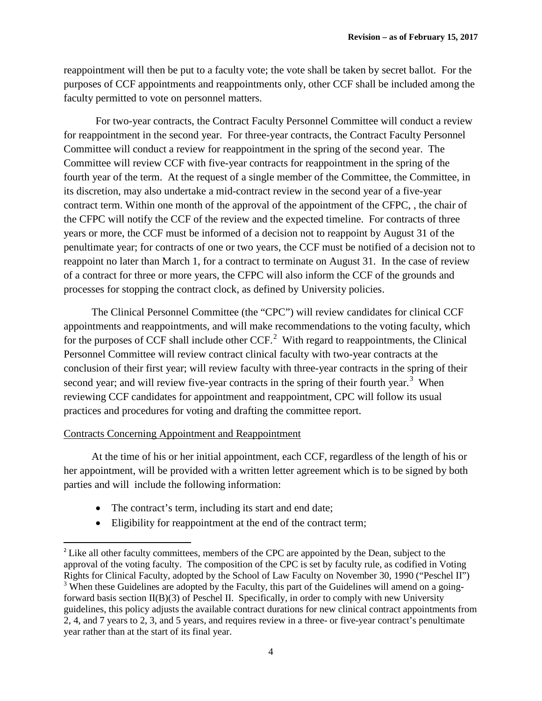reappointment will then be put to a faculty vote; the vote shall be taken by secret ballot. For the purposes of CCF appointments and reappointments only, other CCF shall be included among the faculty permitted to vote on personnel matters.

For two-year contracts, the Contract Faculty Personnel Committee will conduct a review for reappointment in the second year. For three-year contracts, the Contract Faculty Personnel Committee will conduct a review for reappointment in the spring of the second year. The Committee will review CCF with five-year contracts for reappointment in the spring of the fourth year of the term. At the request of a single member of the Committee, the Committee, in its discretion, may also undertake a mid-contract review in the second year of a five-year contract term. Within one month of the approval of the appointment of the CFPC, , the chair of the CFPC will notify the CCF of the review and the expected timeline. For contracts of three years or more, the CCF must be informed of a decision not to reappoint by August 31 of the penultimate year; for contracts of one or two years, the CCF must be notified of a decision not to reappoint no later than March 1, for a contract to terminate on August 31. In the case of review of a contract for three or more years, the CFPC will also inform the CCF of the grounds and processes for stopping the contract clock, as defined by University policies.

The Clinical Personnel Committee (the "CPC") will review candidates for clinical CCF appointments and reappointments, and will make recommendations to the voting faculty, which for the purposes of CCF shall include other  $CCF<sup>2</sup>$  $CCF<sup>2</sup>$  $CCF<sup>2</sup>$  With regard to reappointments, the Clinical Personnel Committee will review contract clinical faculty with two-year contracts at the conclusion of their first year; will review faculty with three-year contracts in the spring of their second year; and will review five-year contracts in the spring of their fourth year.<sup>[3](#page-3-1)</sup> When reviewing CCF candidates for appointment and reappointment, CPC will follow its usual practices and procedures for voting and drafting the committee report.

### Contracts Concerning Appointment and Reappointment

At the time of his or her initial appointment, each CCF, regardless of the length of his or her appointment, will be provided with a written letter agreement which is to be signed by both parties and will include the following information:

- The contract's term, including its start and end date;
- Eligibility for reappointment at the end of the contract term;

<span id="page-3-1"></span><span id="page-3-0"></span><sup>&</sup>lt;sup>2</sup> Like all other faculty committees, members of the CPC are appointed by the Dean, subject to the approval of the voting faculty. The composition of the CPC is set by faculty rule, as codified in Voting Rights for Clinical Faculty, adopted by the School of Law Faculty on November 30, 1990 ("Peschel II") <sup>3</sup> When these Guidelines are adopted by the Faculty, this part of the Guidelines will amend on a goingforward basis section II(B)(3) of Peschel II. Specifically, in order to comply with new University guidelines, this policy adjusts the available contract durations for new clinical contract appointments from 2, 4, and 7 years to 2, 3, and 5 years, and requires review in a three- or five-year contract's penultimate year rather than at the start of its final year.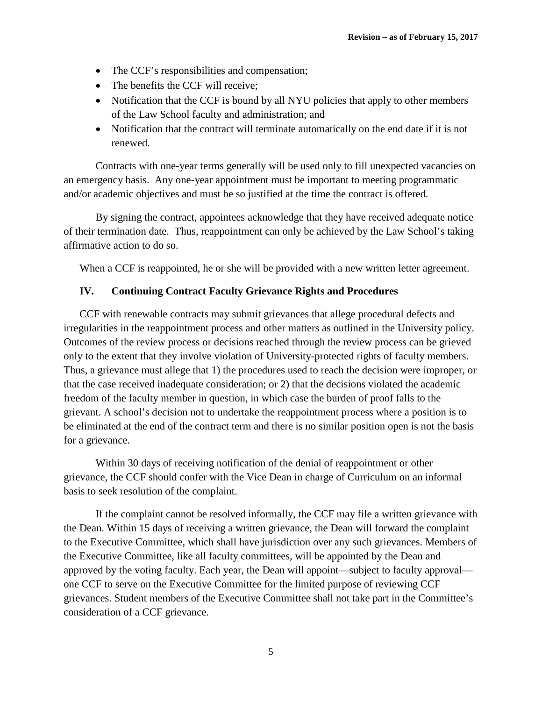- The CCF's responsibilities and compensation;
- The benefits the CCF will receive;
- Notification that the CCF is bound by all NYU policies that apply to other members of the Law School faculty and administration; and
- Notification that the contract will terminate automatically on the end date if it is not renewed.

Contracts with one-year terms generally will be used only to fill unexpected vacancies on an emergency basis. Any one-year appointment must be important to meeting programmatic and/or academic objectives and must be so justified at the time the contract is offered.

By signing the contract, appointees acknowledge that they have received adequate notice of their termination date. Thus, reappointment can only be achieved by the Law School's taking affirmative action to do so.

When a CCF is reappointed, he or she will be provided with a new written letter agreement.

#### **IV. Continuing Contract Faculty Grievance Rights and Procedures**

CCF with renewable contracts may submit grievances that allege procedural defects and irregularities in the reappointment process and other matters as outlined in the University policy. Outcomes of the review process or decisions reached through the review process can be grieved only to the extent that they involve violation of University-protected rights of faculty members. Thus, a grievance must allege that 1) the procedures used to reach the decision were improper, or that the case received inadequate consideration; or 2) that the decisions violated the academic freedom of the faculty member in question, in which case the burden of proof falls to the grievant. A school's decision not to undertake the reappointment process where a position is to be eliminated at the end of the contract term and there is no similar position open is not the basis for a grievance.

Within 30 days of receiving notification of the denial of reappointment or other grievance, the CCF should confer with the Vice Dean in charge of Curriculum on an informal basis to seek resolution of the complaint.

If the complaint cannot be resolved informally, the CCF may file a written grievance with the Dean. Within 15 days of receiving a written grievance, the Dean will forward the complaint to the Executive Committee, which shall have jurisdiction over any such grievances. Members of the Executive Committee, like all faculty committees, will be appointed by the Dean and approved by the voting faculty. Each year, the Dean will appoint—subject to faculty approval one CCF to serve on the Executive Committee for the limited purpose of reviewing CCF grievances. Student members of the Executive Committee shall not take part in the Committee's consideration of a CCF grievance.